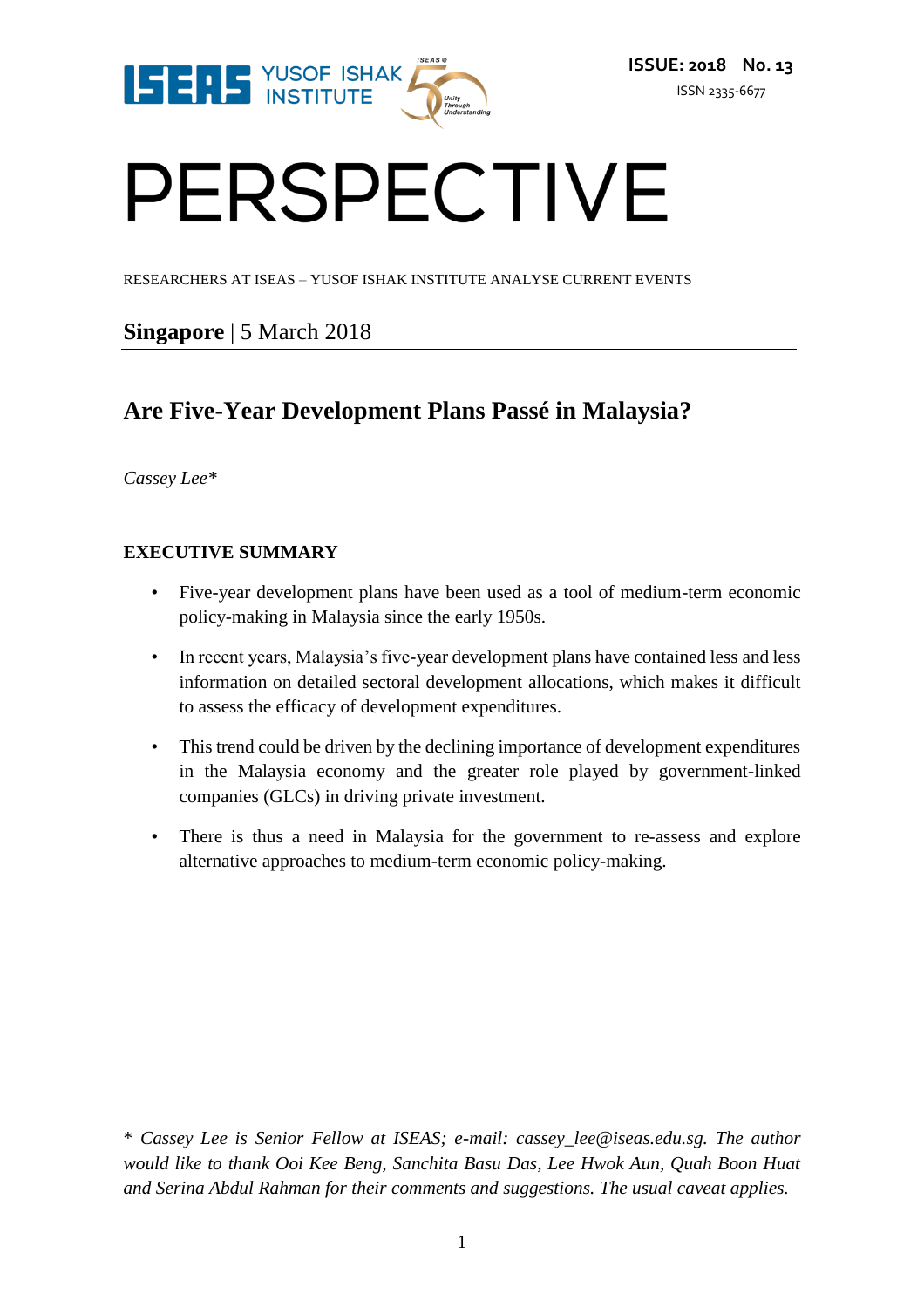

# PERSPECTIVE

RESEARCHERS AT ISEAS – YUSOF ISHAK INSTITUTE ANALYSE CURRENT EVENTS

# **Singapore** | 5 March 2018

# **Are Five-Year Development Plans Passé in Malaysia?**

*Cassey Lee\**

#### **EXECUTIVE SUMMARY**

- Five-year development plans have been used as a tool of medium-term economic policy-making in Malaysia since the early 1950s.
- In recent years, Malaysia's five-year development plans have contained less and less information on detailed sectoral development allocations, which makes it difficult to assess the efficacy of development expenditures.
- This trend could be driven by the declining importance of development expenditures in the Malaysia economy and the greater role played by government-linked companies (GLCs) in driving private investment.
- There is thus a need in Malaysia for the government to re-assess and explore alternative approaches to medium-term economic policy-making.

\* *Cassey Lee is Senior Fellow at ISEAS; e-mail: cassey\_lee@iseas.edu.sg. The author would like to thank Ooi Kee Beng, Sanchita Basu Das, Lee Hwok Aun, Quah Boon Huat and Serina Abdul Rahman for their comments and suggestions. The usual caveat applies.*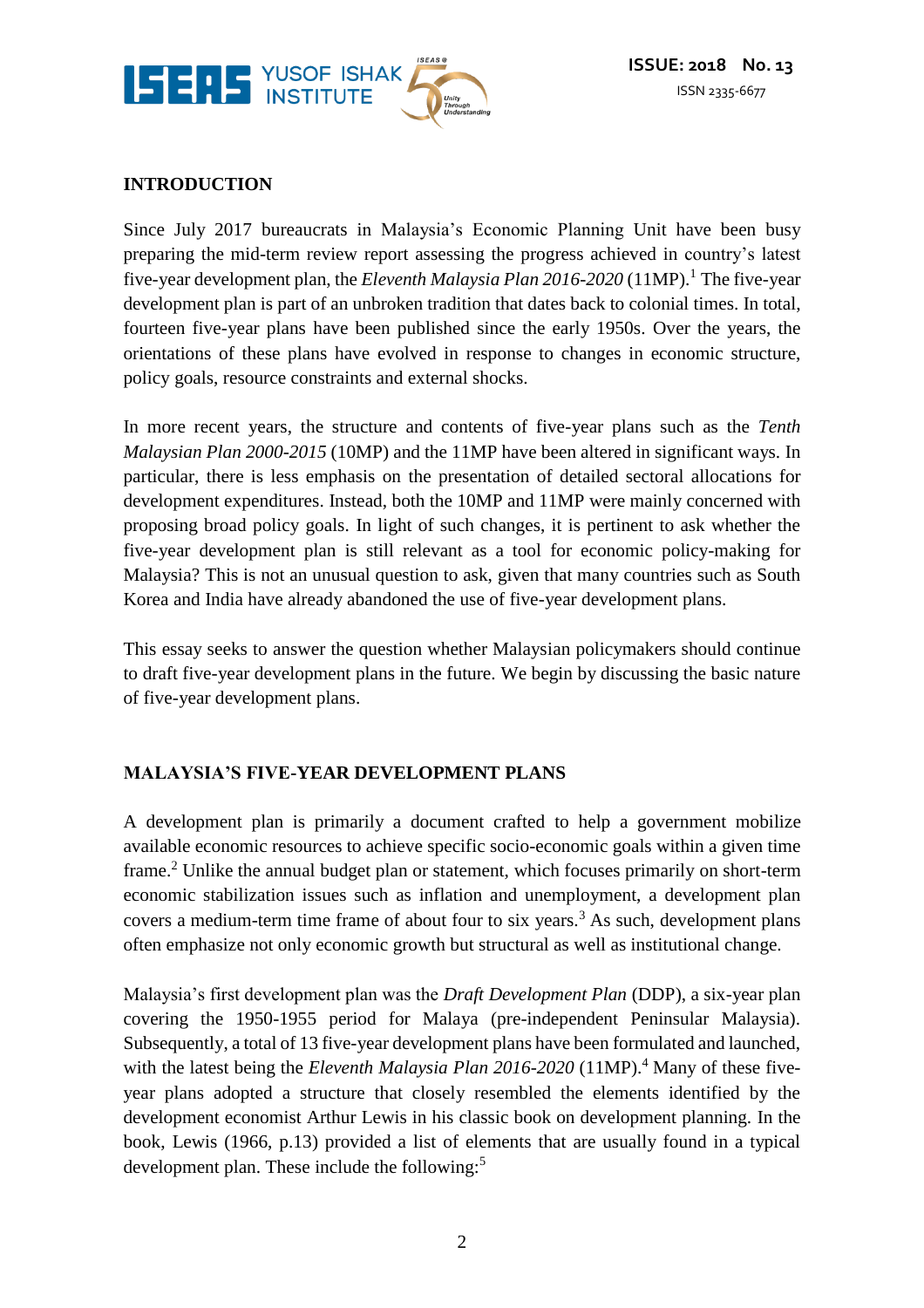

## **INTRODUCTION**

Since July 2017 bureaucrats in Malaysia's Economic Planning Unit have been busy preparing the mid-term review report assessing the progress achieved in country's latest five-year development plan, the *Eleventh Malaysia Plan 2016-2020* (11MP).<sup>1</sup> The five-year development plan is part of an unbroken tradition that dates back to colonial times. In total, fourteen five-year plans have been published since the early 1950s. Over the years, the orientations of these plans have evolved in response to changes in economic structure, policy goals, resource constraints and external shocks.

In more recent years, the structure and contents of five-year plans such as the *Tenth Malaysian Plan 2000-2015* (10MP) and the 11MP have been altered in significant ways. In particular, there is less emphasis on the presentation of detailed sectoral allocations for development expenditures. Instead, both the 10MP and 11MP were mainly concerned with proposing broad policy goals. In light of such changes, it is pertinent to ask whether the five-year development plan is still relevant as a tool for economic policy-making for Malaysia? This is not an unusual question to ask, given that many countries such as South Korea and India have already abandoned the use of five-year development plans.

This essay seeks to answer the question whether Malaysian policymakers should continue to draft five-year development plans in the future. We begin by discussing the basic nature of five-year development plans.

## **MALAYSIA'S FIVE-YEAR DEVELOPMENT PLANS**

A development plan is primarily a document crafted to help a government mobilize available economic resources to achieve specific socio-economic goals within a given time frame.<sup>2</sup> Unlike the annual budget plan or statement, which focuses primarily on short-term economic stabilization issues such as inflation and unemployment, a development plan covers a medium-term time frame of about four to six years.<sup>3</sup> As such, development plans often emphasize not only economic growth but structural as well as institutional change.

Malaysia's first development plan was the *Draft Development Plan* (DDP), a six-year plan covering the 1950-1955 period for Malaya (pre-independent Peninsular Malaysia). Subsequently, a total of 13 five-year development plans have been formulated and launched, with the latest being the *Eleventh Malaysia Plan 2016-2020* (11MP).<sup>4</sup> Many of these fiveyear plans adopted a structure that closely resembled the elements identified by the development economist Arthur Lewis in his classic book on development planning. In the book, Lewis (1966, p.13) provided a list of elements that are usually found in a typical development plan. These include the following:<sup>5</sup>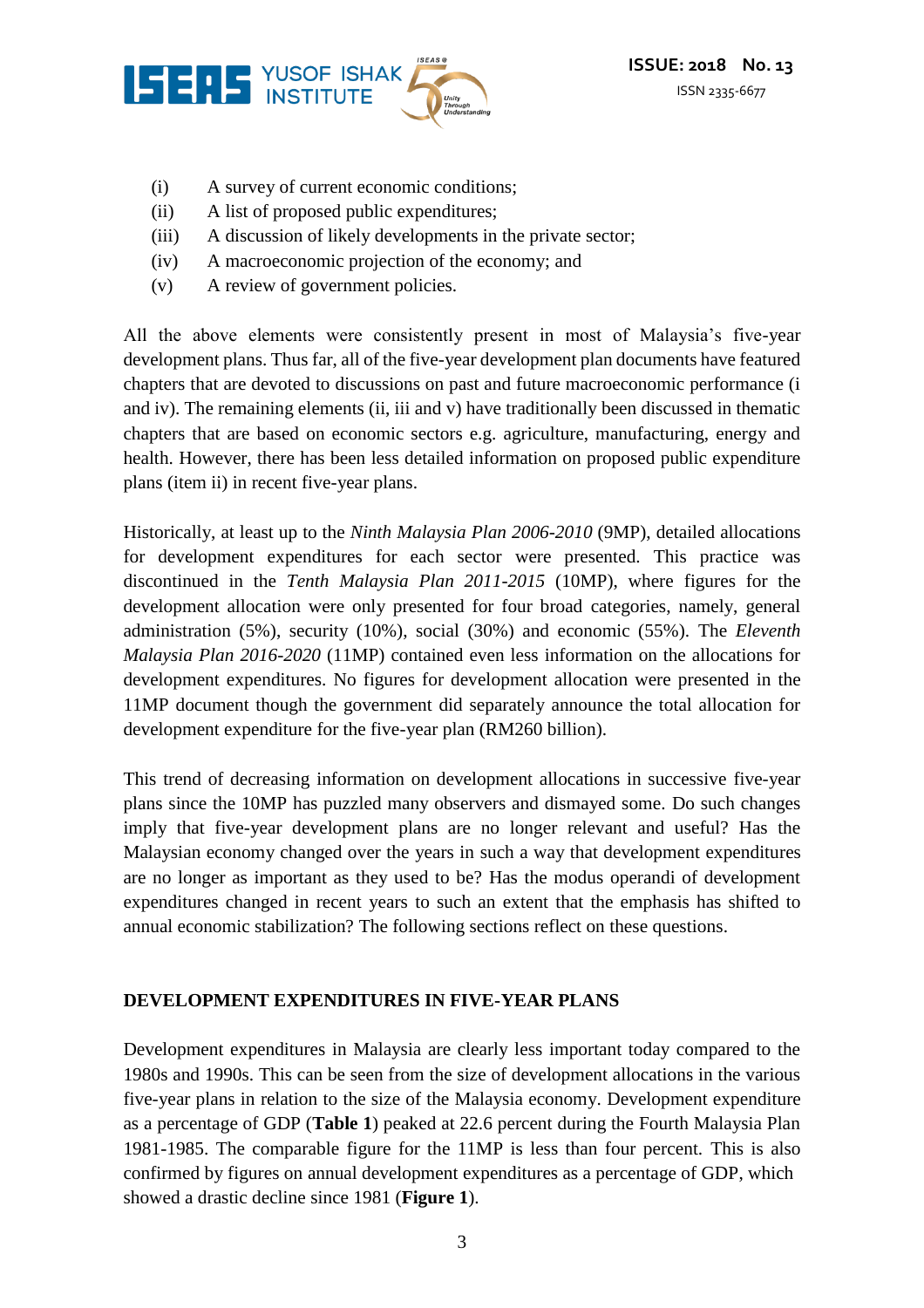

- (i) A survey of current economic conditions;
- (ii) A list of proposed public expenditures;
- (iii) A discussion of likely developments in the private sector;
- (iv) A macroeconomic projection of the economy; and
- (v) A review of government policies.

All the above elements were consistently present in most of Malaysia's five-year development plans. Thus far, all of the five-year development plan documents have featured chapters that are devoted to discussions on past and future macroeconomic performance (i and iv). The remaining elements (ii, iii and v) have traditionally been discussed in thematic chapters that are based on economic sectors e.g. agriculture, manufacturing, energy and health. However, there has been less detailed information on proposed public expenditure plans (item ii) in recent five-year plans.

Historically, at least up to the *Ninth Malaysia Plan 2006-2010* (9MP), detailed allocations for development expenditures for each sector were presented. This practice was discontinued in the *Tenth Malaysia Plan 2011-2015* (10MP), where figures for the development allocation were only presented for four broad categories, namely, general administration (5%), security (10%), social (30%) and economic (55%). The *Eleventh Malaysia Plan 2016-2020* (11MP) contained even less information on the allocations for development expenditures. No figures for development allocation were presented in the 11MP document though the government did separately announce the total allocation for development expenditure for the five-year plan (RM260 billion).

This trend of decreasing information on development allocations in successive five-year plans since the 10MP has puzzled many observers and dismayed some. Do such changes imply that five-year development plans are no longer relevant and useful? Has the Malaysian economy changed over the years in such a way that development expenditures are no longer as important as they used to be? Has the modus operandi of development expenditures changed in recent years to such an extent that the emphasis has shifted to annual economic stabilization? The following sections reflect on these questions.

#### **DEVELOPMENT EXPENDITURES IN FIVE-YEAR PLANS**

Development expenditures in Malaysia are clearly less important today compared to the 1980s and 1990s. This can be seen from the size of development allocations in the various five-year plans in relation to the size of the Malaysia economy. Development expenditure as a percentage of GDP (**Table 1**) peaked at 22.6 percent during the Fourth Malaysia Plan 1981-1985. The comparable figure for the 11MP is less than four percent. This is also confirmed by figures on annual development expenditures as a percentage of GDP, which showed a drastic decline since 1981 (**Figure 1**).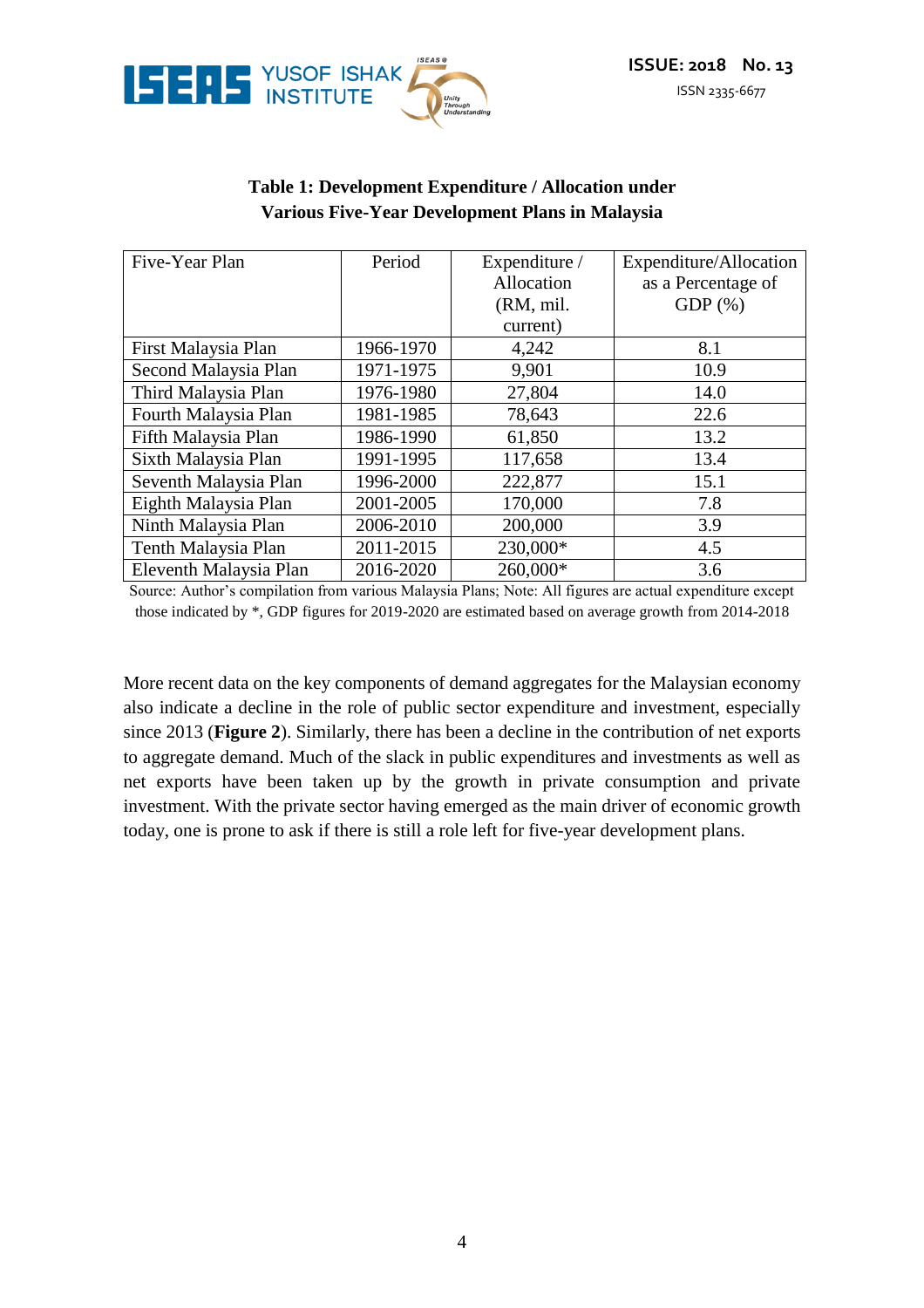



#### **Table 1: Development Expenditure / Allocation under Various Five-Year Development Plans in Malaysia**

| Five-Year Plan         | Period    | Expenditure / | Expenditure/Allocation |
|------------------------|-----------|---------------|------------------------|
|                        |           | Allocation    | as a Percentage of     |
|                        |           | (RM, mil.     | $GDP(\%)$              |
|                        |           | current)      |                        |
| First Malaysia Plan    | 1966-1970 | 4,242         | 8.1                    |
| Second Malaysia Plan   | 1971-1975 | 9,901         | 10.9                   |
| Third Malaysia Plan    | 1976-1980 | 27,804        | 14.0                   |
| Fourth Malaysia Plan   | 1981-1985 | 78,643        | 22.6                   |
| Fifth Malaysia Plan    | 1986-1990 | 61,850        | 13.2                   |
| Sixth Malaysia Plan    | 1991-1995 | 117,658       | 13.4                   |
| Seventh Malaysia Plan  | 1996-2000 | 222,877       | 15.1                   |
| Eighth Malaysia Plan   | 2001-2005 | 170,000       | 7.8                    |
| Ninth Malaysia Plan    | 2006-2010 | 200,000       | 3.9                    |
| Tenth Malaysia Plan    | 2011-2015 | 230,000*      | 4.5                    |
| Eleventh Malaysia Plan | 2016-2020 | 260,000*      | 3.6                    |

Source: Author's compilation from various Malaysia Plans; Note: All figures are actual expenditure except those indicated by \*, GDP figures for 2019-2020 are estimated based on average growth from 2014-2018

More recent data on the key components of demand aggregates for the Malaysian economy also indicate a decline in the role of public sector expenditure and investment, especially since 2013 (**Figure 2**). Similarly, there has been a decline in the contribution of net exports to aggregate demand. Much of the slack in public expenditures and investments as well as net exports have been taken up by the growth in private consumption and private investment. With the private sector having emerged as the main driver of economic growth today, one is prone to ask if there is still a role left for five-year development plans.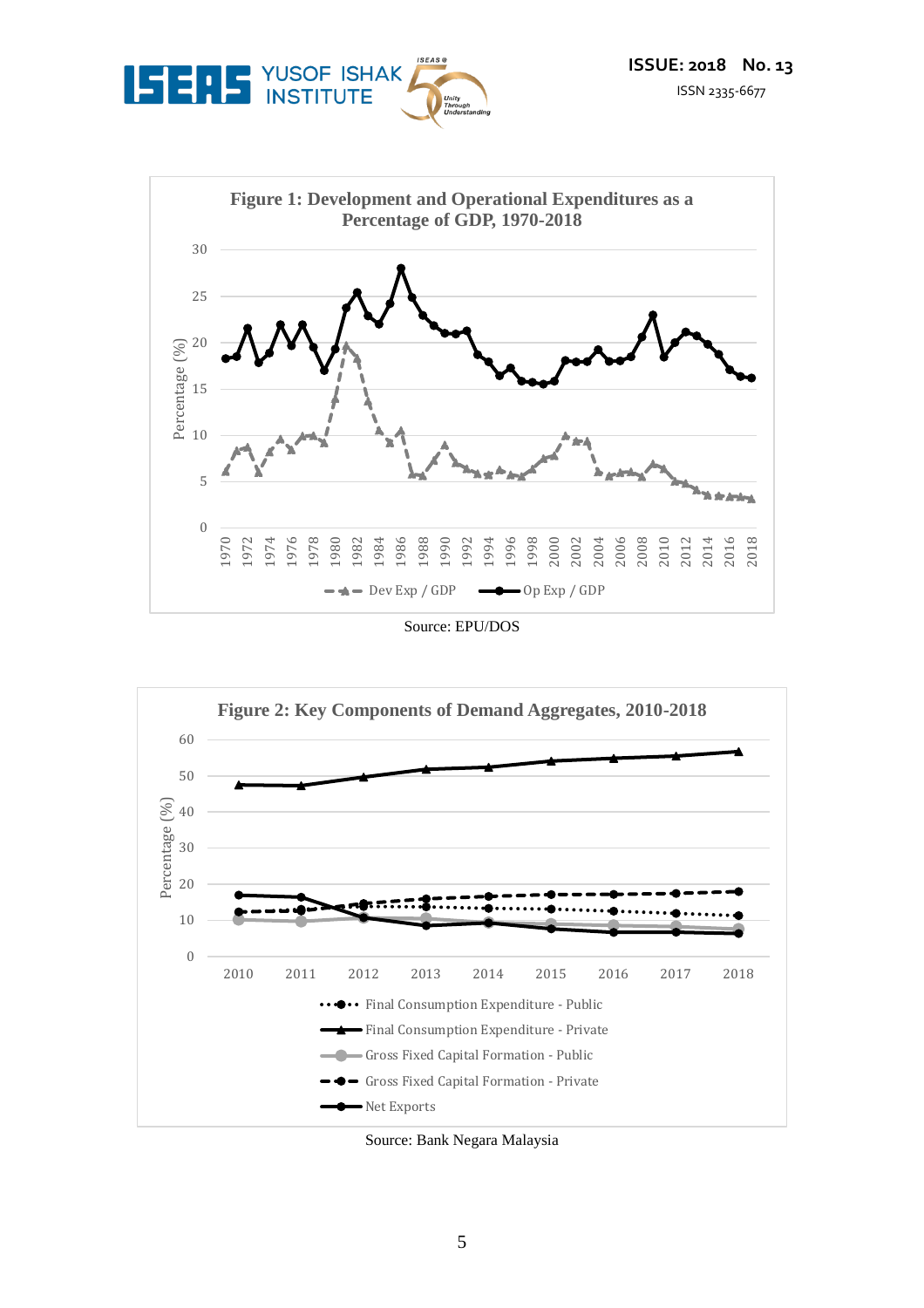



Source: EPU/DOS



Source: Bank Negara Malaysia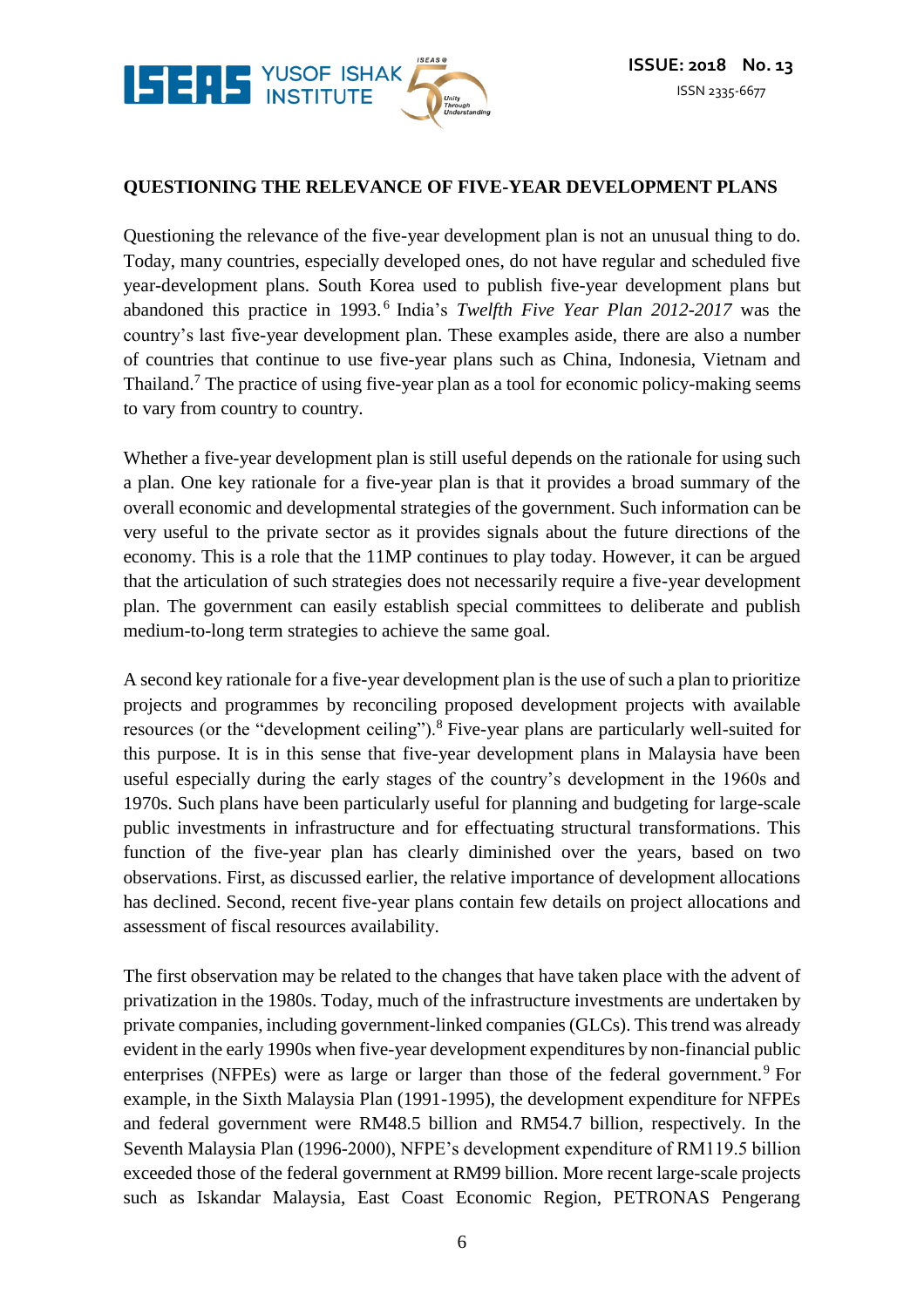

#### **QUESTIONING THE RELEVANCE OF FIVE-YEAR DEVELOPMENT PLANS**

Questioning the relevance of the five-year development plan is not an unusual thing to do. Today, many countries, especially developed ones, do not have regular and scheduled five year-development plans. South Korea used to publish five-year development plans but abandoned this practice in 1993.<sup>6</sup> India's *Twelfth Five Year Plan 2012-2017* was the country's last five-year development plan. These examples aside, there are also a number of countries that continue to use five-year plans such as China, Indonesia, Vietnam and Thailand.<sup>7</sup> The practice of using five-year plan as a tool for economic policy-making seems to vary from country to country.

Whether a five-year development plan is still useful depends on the rationale for using such a plan. One key rationale for a five-year plan is that it provides a broad summary of the overall economic and developmental strategies of the government. Such information can be very useful to the private sector as it provides signals about the future directions of the economy. This is a role that the 11MP continues to play today. However, it can be argued that the articulation of such strategies does not necessarily require a five-year development plan. The government can easily establish special committees to deliberate and publish medium-to-long term strategies to achieve the same goal.

A second key rationale for a five-year development plan is the use of such a plan to prioritize projects and programmes by reconciling proposed development projects with available resources (or the "development ceiling").<sup>8</sup> Five-year plans are particularly well-suited for this purpose. It is in this sense that five-year development plans in Malaysia have been useful especially during the early stages of the country's development in the 1960s and 1970s. Such plans have been particularly useful for planning and budgeting for large-scale public investments in infrastructure and for effectuating structural transformations. This function of the five-year plan has clearly diminished over the years, based on two observations. First, as discussed earlier, the relative importance of development allocations has declined. Second, recent five-year plans contain few details on project allocations and assessment of fiscal resources availability.

The first observation may be related to the changes that have taken place with the advent of privatization in the 1980s. Today, much of the infrastructure investments are undertaken by private companies, including government-linked companies (GLCs). This trend was already evident in the early 1990s when five-year development expenditures by non-financial public enterprises (NFPEs) were as large or larger than those of the federal government.<sup>9</sup> For example, in the Sixth Malaysia Plan (1991-1995), the development expenditure for NFPEs and federal government were RM48.5 billion and RM54.7 billion, respectively. In the Seventh Malaysia Plan (1996-2000), NFPE's development expenditure of RM119.5 billion exceeded those of the federal government at RM99 billion. More recent large-scale projects such as Iskandar Malaysia, East Coast Economic Region, PETRONAS Pengerang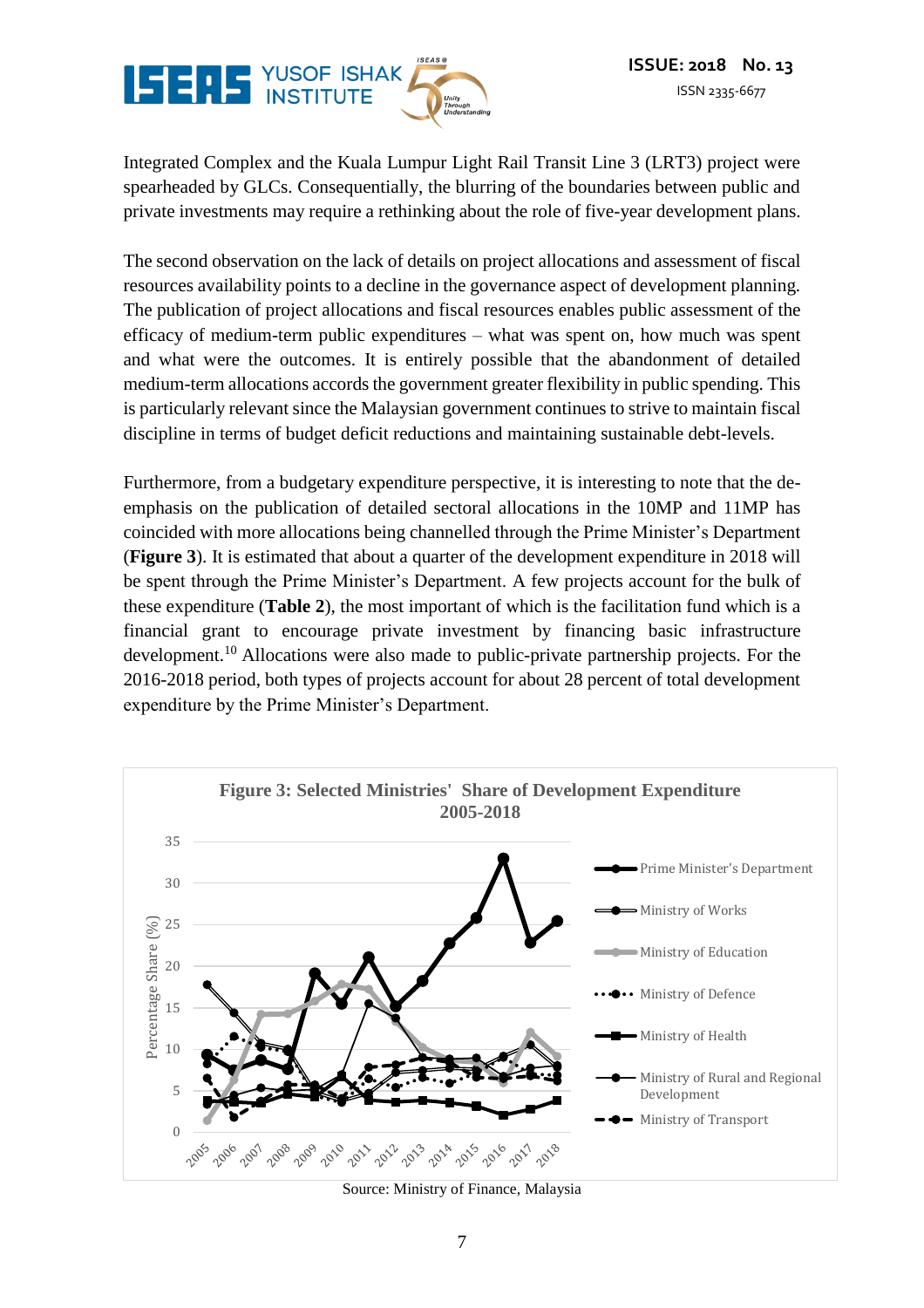

Integrated Complex and the Kuala Lumpur Light Rail Transit Line 3 (LRT3) project were spearheaded by GLCs. Consequentially, the blurring of the boundaries between public and private investments may require a rethinking about the role of five-year development plans.

The second observation on the lack of details on project allocations and assessment of fiscal resources availability points to a decline in the governance aspect of development planning. The publication of project allocations and fiscal resources enables public assessment of the efficacy of medium-term public expenditures – what was spent on, how much was spent and what were the outcomes. It is entirely possible that the abandonment of detailed medium-term allocations accords the government greater flexibility in public spending. This is particularly relevant since the Malaysian government continues to strive to maintain fiscal discipline in terms of budget deficit reductions and maintaining sustainable debt-levels.

Furthermore, from a budgetary expenditure perspective, it is interesting to note that the deemphasis on the publication of detailed sectoral allocations in the 10MP and 11MP has coincided with more allocations being channelled through the Prime Minister's Department (**Figure 3**). It is estimated that about a quarter of the development expenditure in 2018 will be spent through the Prime Minister's Department. A few projects account for the bulk of these expenditure (**Table 2**), the most important of which is the facilitation fund which is a financial grant to encourage private investment by financing basic infrastructure development.<sup>10</sup> Allocations were also made to public-private partnership projects. For the 2016-2018 period, both types of projects account for about 28 percent of total development expenditure by the Prime Minister's Department.



Source: Ministry of Finance, Malaysia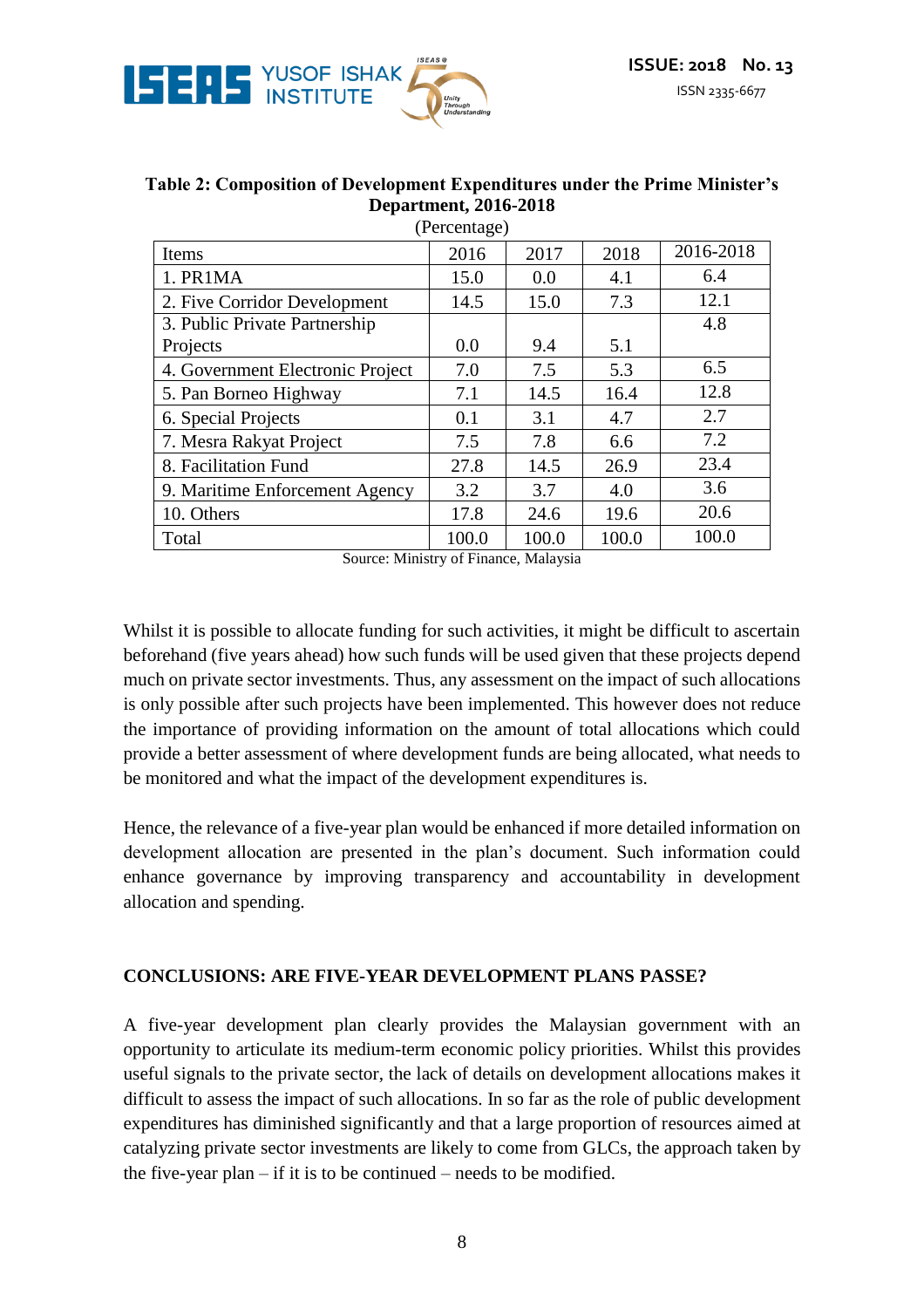

| <b>Table 2: Composition of Development Expenditures under the Prime Minister's</b> |
|------------------------------------------------------------------------------------|
| <b>Department, 2016-2018</b>                                                       |
| $(D_{\text{anomth}})$                                                              |

| (Percentage)                     |       |       |       |           |
|----------------------------------|-------|-------|-------|-----------|
| Items                            | 2016  | 2017  | 2018  | 2016-2018 |
| 1. PR1MA                         | 15.0  | 0.0   | 4.1   | 6.4       |
| 2. Five Corridor Development     | 14.5  | 15.0  | 7.3   | 12.1      |
| 3. Public Private Partnership    |       |       |       | 4.8       |
| Projects                         | 0.0   | 9.4   | 5.1   |           |
| 4. Government Electronic Project | 7.0   | 7.5   | 5.3   | 6.5       |
| 5. Pan Borneo Highway            | 7.1   | 14.5  | 16.4  | 12.8      |
| 6. Special Projects              | 0.1   | 3.1   | 4.7   | 2.7       |
| 7. Mesra Rakyat Project          | 7.5   | 7.8   | 6.6   | 7.2       |
| 8. Facilitation Fund             | 27.8  | 14.5  | 26.9  | 23.4      |
| 9. Maritime Enforcement Agency   | 3.2   | 3.7   | 4.0   | 3.6       |
| 10. Others                       | 17.8  | 24.6  | 19.6  | 20.6      |
| Total                            | 100.0 | 100.0 | 100.0 | 100.0     |

Source: Ministry of Finance, Malaysia

Whilst it is possible to allocate funding for such activities, it might be difficult to ascertain beforehand (five years ahead) how such funds will be used given that these projects depend much on private sector investments. Thus, any assessment on the impact of such allocations is only possible after such projects have been implemented. This however does not reduce the importance of providing information on the amount of total allocations which could provide a better assessment of where development funds are being allocated, what needs to be monitored and what the impact of the development expenditures is.

Hence, the relevance of a five-year plan would be enhanced if more detailed information on development allocation are presented in the plan's document. Such information could enhance governance by improving transparency and accountability in development allocation and spending.

#### **CONCLUSIONS: ARE FIVE-YEAR DEVELOPMENT PLANS PASSE?**

A five-year development plan clearly provides the Malaysian government with an opportunity to articulate its medium-term economic policy priorities. Whilst this provides useful signals to the private sector, the lack of details on development allocations makes it difficult to assess the impact of such allocations. In so far as the role of public development expenditures has diminished significantly and that a large proportion of resources aimed at catalyzing private sector investments are likely to come from GLCs, the approach taken by the five-year plan – if it is to be continued – needs to be modified.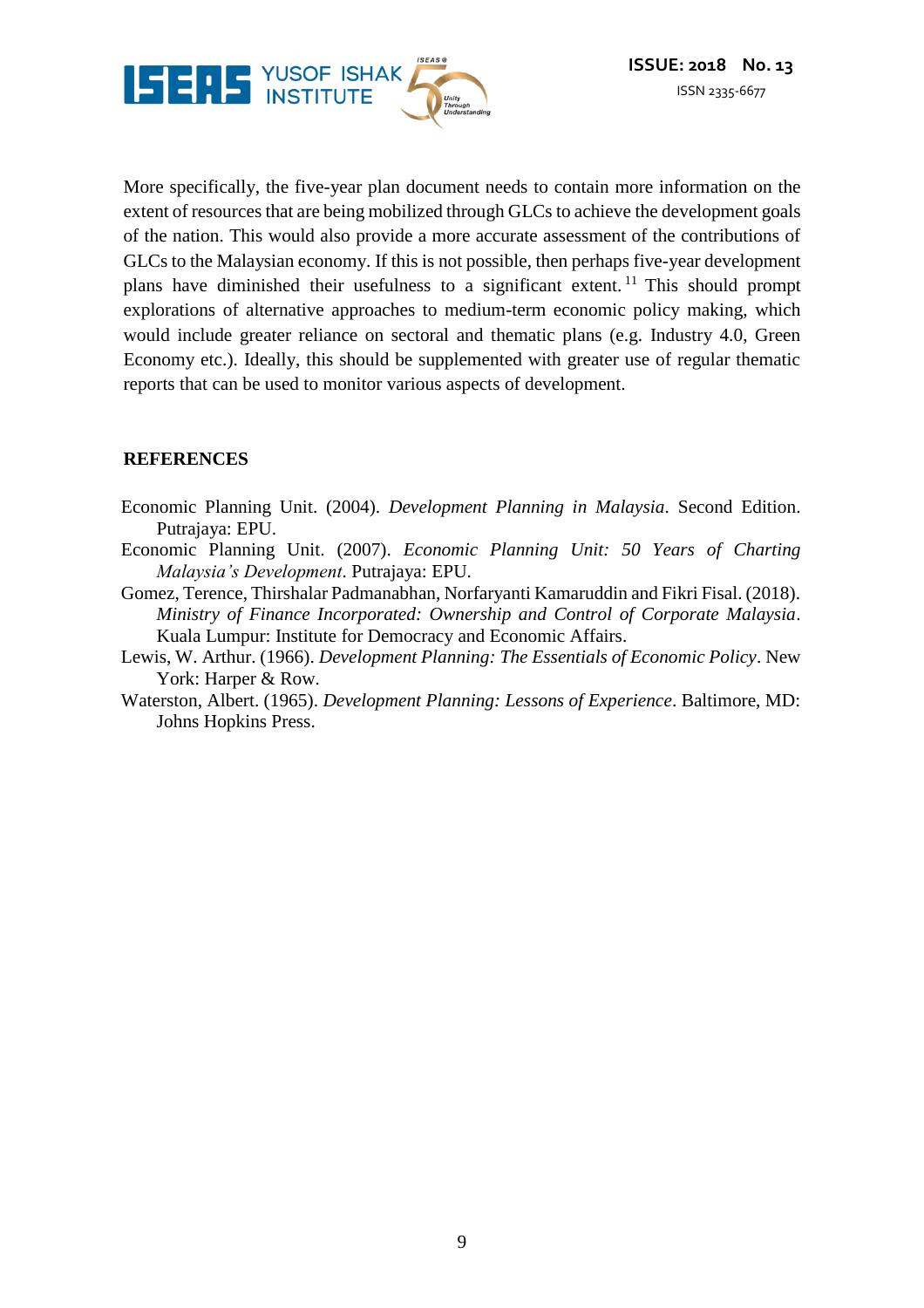

More specifically, the five-year plan document needs to contain more information on the extent of resources that are being mobilized through GLCs to achieve the development goals of the nation. This would also provide a more accurate assessment of the contributions of GLCs to the Malaysian economy. If this is not possible, then perhaps five-year development plans have diminished their usefulness to a significant extent. <sup>11</sup> This should prompt explorations of alternative approaches to medium-term economic policy making, which would include greater reliance on sectoral and thematic plans (e.g. Industry 4.0, Green Economy etc.). Ideally, this should be supplemented with greater use of regular thematic reports that can be used to monitor various aspects of development.

#### **REFERENCES**

- Economic Planning Unit. (2004). *Development Planning in Malaysia*. Second Edition. Putrajaya: EPU.
- Economic Planning Unit. (2007). *Economic Planning Unit: 50 Years of Charting Malaysia's Development*. Putrajaya: EPU.
- Gomez, Terence, Thirshalar Padmanabhan, Norfaryanti Kamaruddin and Fikri Fisal. (2018). *Ministry of Finance Incorporated: Ownership and Control of Corporate Malaysia*. Kuala Lumpur: Institute for Democracy and Economic Affairs.
- Lewis, W. Arthur. (1966). *Development Planning: The Essentials of Economic Policy*. New York: Harper & Row.
- Waterston, Albert. (1965). *Development Planning: Lessons of Experience*. Baltimore, MD: Johns Hopkins Press.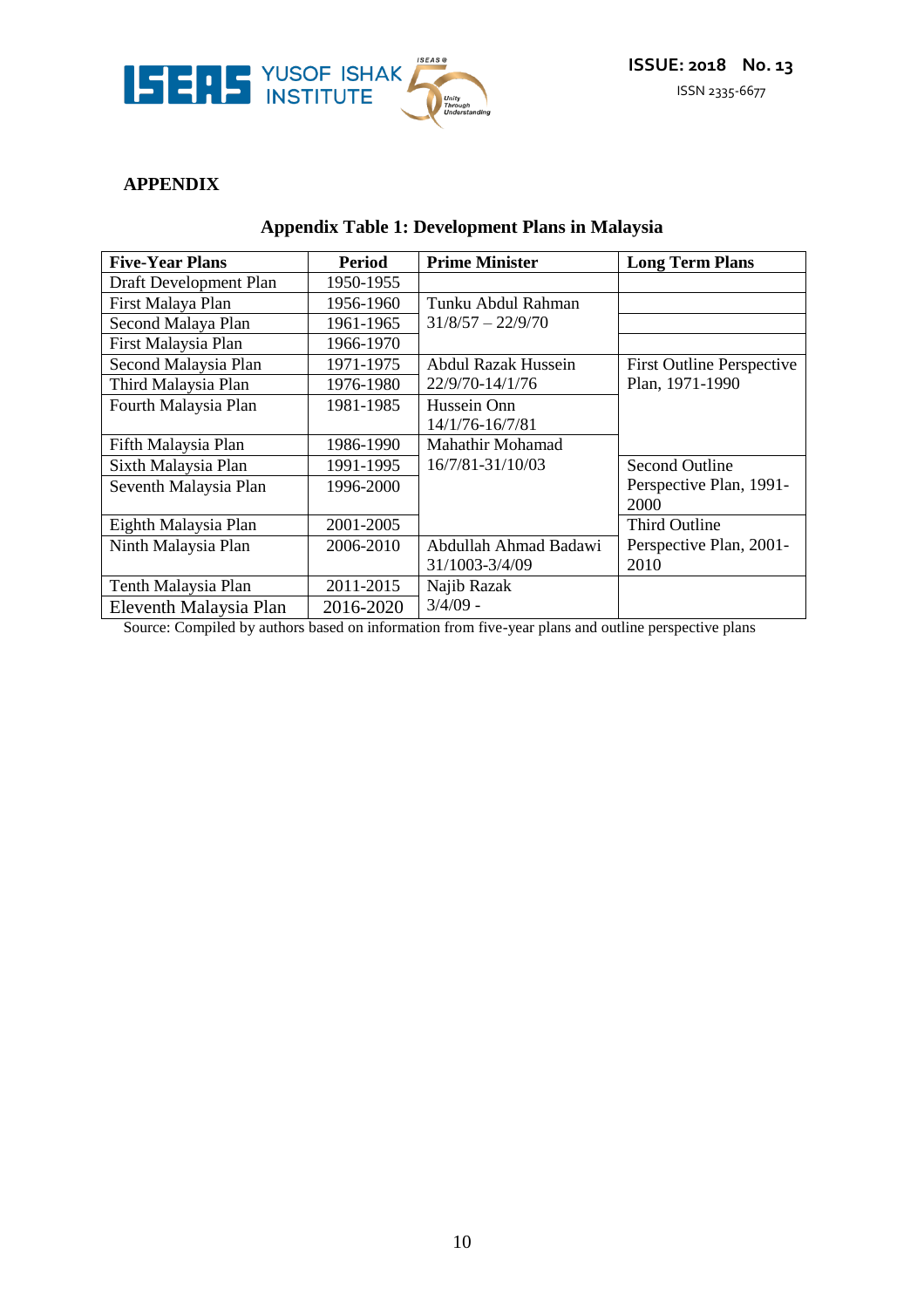

## **APPENDIX**

|  |  | Appendix Table 1: Development Plans in Malaysia |  |  |
|--|--|-------------------------------------------------|--|--|
|--|--|-------------------------------------------------|--|--|

| <b>Five-Year Plans</b> | <b>Period</b> | <b>Prime Minister</b>      | <b>Long Term Plans</b>           |
|------------------------|---------------|----------------------------|----------------------------------|
| Draft Development Plan | 1950-1955     |                            |                                  |
| First Malaya Plan      | 1956-1960     | Tunku Abdul Rahman         |                                  |
| Second Malaya Plan     | 1961-1965     | $31/8/57 - 22/9/70$        |                                  |
| First Malaysia Plan    | 1966-1970     |                            |                                  |
| Second Malaysia Plan   | 1971-1975     | <b>Abdul Razak Hussein</b> | <b>First Outline Perspective</b> |
| Third Malaysia Plan    | 1976-1980     | 22/9/70-14/1/76            | Plan, 1971-1990                  |
| Fourth Malaysia Plan   | 1981-1985     | Hussein Onn                |                                  |
|                        |               | 14/1/76-16/7/81            |                                  |
| Fifth Malaysia Plan    | 1986-1990     | Mahathir Mohamad           |                                  |
| Sixth Malaysia Plan    | 1991-1995     | 16/7/81-31/10/03           | <b>Second Outline</b>            |
| Seventh Malaysia Plan  | 1996-2000     |                            | Perspective Plan, 1991-          |
|                        |               |                            | 2000                             |
| Eighth Malaysia Plan   | 2001-2005     |                            | <b>Third Outline</b>             |
| Ninth Malaysia Plan    | 2006-2010     | Abdullah Ahmad Badawi      | Perspective Plan, 2001-          |
|                        |               | 31/1003-3/4/09             | 2010                             |
| Tenth Malaysia Plan    | 2011-2015     | Najib Razak                |                                  |
| Eleventh Malaysia Plan | 2016-2020     | $3/4/09$ -                 |                                  |

Source: Compiled by authors based on information from five-year plans and outline perspective plans